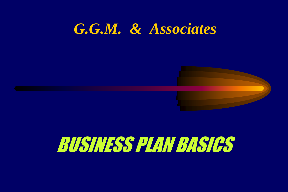# *G.G.M. & Associates*



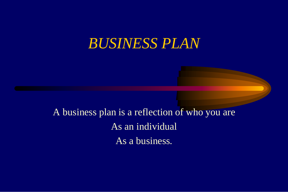A business plan is a reflection of who you are As an individual As a business.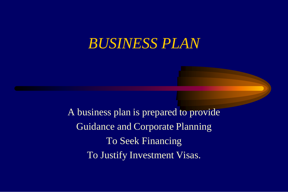A business plan is prepared to provide Guidance and Corporate Planning To Seek Financing To Justify Investment Visas.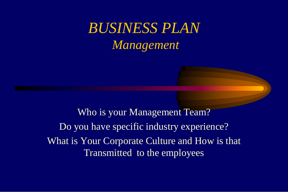# *BUSINESS PLAN Management*

Who is your Management Team? Do you have specific industry experience? What is Your Corporate Culture and How is that Transmitted to the employees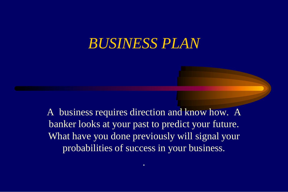A business requires direction and know how. A banker looks at your past to predict your future. What have you done previously will signal your probabilities of success in your business.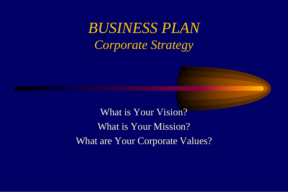# *BUSINESS PLAN Corporate Strategy*

What is Your Vision? What is Your Mission? What are Your Corporate Values?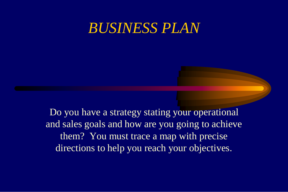Do you have a strategy stating your operational and sales goals and how are you going to achieve them? You must trace a map with precise directions to help you reach your objectives.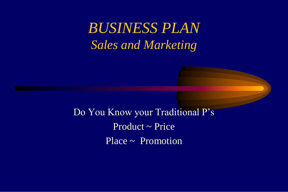## *BUSINESS PLAN Sales and Marketing*

Do You Know your Traditional P's Product ~ Price Place ~ Promotion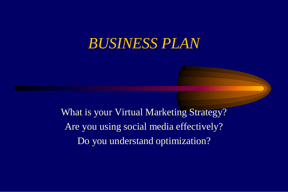What is your Virtual Marketing Strategy? Are you using social media effectively? Do you understand optimization?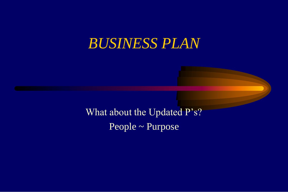What about the Updated P's? People ~ Purpose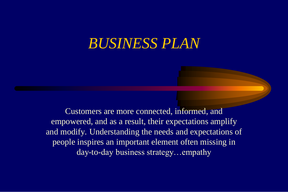Customers are more connected, informed, and empowered, and as a result, their expectations amplify and modify. Understanding the needs and expectations of people inspires an important element often missing in day-to-day business strategy…empathy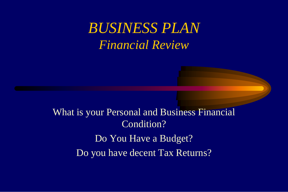## *BUSINESS PLAN Financial Review*

What is your Personal and Business Financial Condition? Do You Have a Budget? Do you have decent Tax Returns?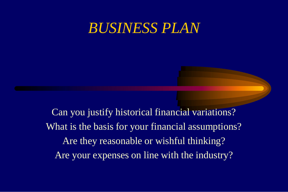Can you justify historical financial variations? What is the basis for your financial assumptions? Are they reasonable or wishful thinking? Are your expenses on line with the industry?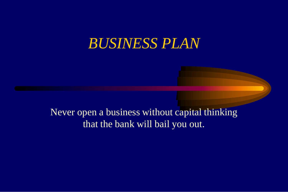Never open a business without capital thinking that the bank will bail you out.